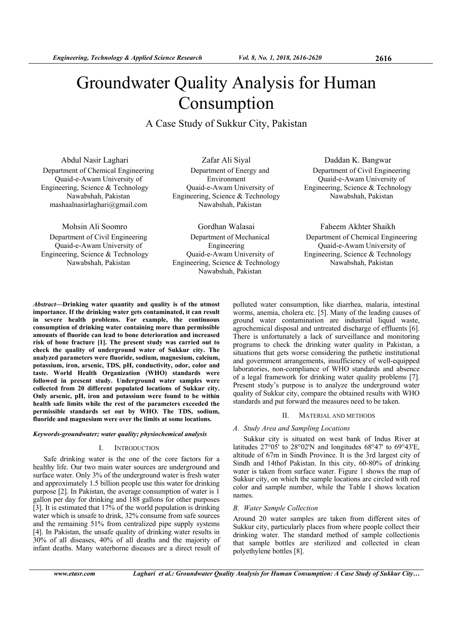# Groundwater Quality Analysis for Human Consumption

A Case Study of Sukkur City, Pakistan

Abdul Nasir Laghari Department of Chemical Engineering Quaid-e-Awam University of Engineering, Science & Technology Nawabshah, Pakistan mashaalnasirlaghari@gmail.com

Mohsin Ali Soomro Department of Civil Engineering Quaid-e-Awam University of Engineering, Science & Technology Nawabshah, Pakistan

Zafar Ali Siyal Department of Energy and Environment Quaid-e-Awam University of Engineering, Science & Technology Nawabshah, Pakistan

Gordhan Walasai Department of Mechanical Engineering Quaid-e-Awam University of Engineering, Science & Technology Nawabshah, Pakistan

Daddan K. Bangwar Department of Civil Engineering Quaid-e-Awam University of Engineering, Science & Technology Nawabshah, Pakistan

Faheem Akhter Shaikh Department of Chemical Engineering Quaid-e-Awam University of Engineering, Science & Technology Nawabshah, Pakistan

*Abstract***—Drinking water quantity and quality is of the utmost importance. If the drinking water gets contaminated, it can result in severe health problems. For example, the continuous consumption of drinking water containing more than permissible amounts of fluoride can lead to bone deterioration and increased risk of bone fracture [1]. The present study was carried out to check the quality of underground water of Sukkur city. The analyzed parameters were fluoride, sodium, magnesium, calcium, potassium, iron, arsenic, TDS, pH, conductivity, odor, color and taste. World Health Organization (WHO) standards were followed in present study. Underground water samples were collected from 20 different populated locations of Sukkur city. Only arsenic, pH, iron and potassium were found to be within health safe limits while the rest of the parameters exceeded the permissible standards set out by WHO. The TDS, sodium, fluoride and magnesium were over the limits at some locations.** 

## *Keywords-groundwater; water quality; physiochemical analysis*

# I. INTRODUCTION

Safe drinking water is the one of the core factors for a healthy life. Our two main water sources are underground and surface water. Only 3% of the underground water is fresh water and approximately 1.5 billion people use this water for drinking purpose [2]. In Pakistan, the average consumption of water is 1 gallon per day for drinking and 188 gallons for other purposes [3]. It is estimated that 17% of the world population is drinking water which is unsafe to drink, 32% consume from safe sources and the remaining 51% from centralized pipe supply systems [4]. In Pakistan, the unsafe quality of drinking water results in 30% of all diseases, 40% of all deaths and the majority of infant deaths. Many waterborne diseases are a direct result of polluted water consumption, like diarrhea, malaria, intestinal worms, anemia, cholera etc. [5]. Many of the leading causes of ground water contamination are industrial liquid waste, agrochemical disposal and untreated discharge of effluents [6]. There is unfortunately a lack of surveillance and monitoring programs to check the drinking water quality in Pakistan, a situations that gets worse considering the pathetic institutional and government arrangements, insufficiency of well-equipped laboratories, non-compliance of WHO standards and absence of a legal framework for drinking water quality problems [7]. Present study's purpose is to analyze the underground water quality of Sukkur city, compare the obtained results with WHO standards and put forward the measures need to be taken.

## II. MATERIAL AND METHODS

# *A. Study Area and Sampling Locations*

Sukkur city is situated on west bank of Indus River at latitudes 27°05' to 28°02'N and longitudes 68°47' to 69°43'E, altitude of 67m in Sindh Province. It is the 3rd largest city of Sindh and 14thof Pakistan. In this city, 60-80% of drinking water is taken from surface water. Figure 1 shows the map of Sukkur city, on which the sample locations are circled with red color and sample number, while the Table I shows location names.

## *B. Water Sample Collection*

Around 20 water samples are taken from different sites of Sukkur city, particularly places from where people collect their drinking water. The standard method of sample collectionis that sample bottles are sterilized and collected in clean polyethylene bottles [8].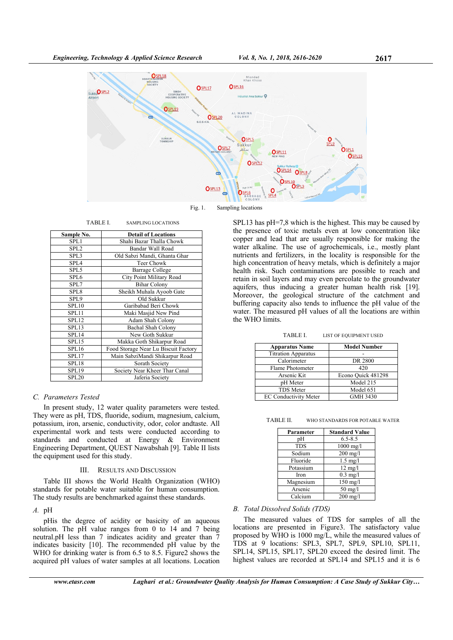

Fig. 1. Sampling locations

TABLE I. SAMPLING LOCATIONS

| Sample No.        | <b>Detail of Locations</b>           |
|-------------------|--------------------------------------|
| SPL1              | Shahi Bazar Thalla Chowk             |
| SPL <sub>2</sub>  | Bandar Wall Road                     |
| SPL3              | Old Sabzi Mandi, Ghanta Ghar         |
| SPL4              | <b>Teer Chowk</b>                    |
| SPL5              | <b>Barrage College</b>               |
| SPL <sub>6</sub>  | City Point Military Road             |
| SPL7              | <b>Bihar Colony</b>                  |
| SPL8              | Sheikh Muhala Ayoob Gate             |
| SPL9              | Old Sukkur                           |
| SPL10             | Garibabad Beri Chowk                 |
| SPL11             | Maki Masjid New Pind                 |
| SPL12             | Adam Shah Colony                     |
| SPL13             | <b>Bachal Shah Colony</b>            |
| SPL14             | New Goth Sukkur                      |
| SPL15             | Makka Goth Shikarpur Road            |
| SPL16             | Food Storage Near Lu Biscuit Factory |
| SPL17             | Main SabziMandi Shikarpur Road       |
| SPL18             | Sorath Society                       |
| SPL19             | Society Near Kheer Thar Canal        |
| SPL <sub>20</sub> | Jaferia Society                      |

## *C. Parameters Tested*

In present study, 12 water quality parameters were tested. They were as pH, TDS, fluoride, sodium, magnesium, calcium, potassium, iron, arsenic, conductivity, odor, color andtaste. All experimental work and tests were conducted according to standards and conducted at Energy & Environment Engineering Department, QUEST Nawabshah [9]. Table II lists the equipment used for this study.

## III. RESULTS AND DISCUSSION

Table III shows the World Health Organization (WHO) standards for potable water suitable for human consumption. The study results are benchmarked against these standards.

# *A.* pH

pHis the degree of acidity or basicity of an aqueous solution. The pH value ranges from 0 to 14 and 7 being neutral.pH less than 7 indicates acidity and greater than 7 indicates basicity [10]. The recommended pH value by the WHO for drinking water is from 6.5 to 8.5. Figure2 shows the acquired pH values of water samples at all locations. Location SPL13 has pH=7,8 which is the highest. This may be caused by the presence of toxic metals even at low concentration like copper and lead that are usually responsible for making the water alkaline. The use of agrochemicals, i.e., mostly plant nutrients and fertilizers, in the locality is responsible for the high concentration of heavy metals, which is definitely a major health risk. Such contaminations are possible to reach and retain in soil layers and may even percolate to the groundwater aquifers, thus inducing a greater human health risk [19]. Moreover, the geological structure of the catchment and buffering capacity also tends to influence the pH value of the water. The measured pH values of all the locations are within the WHO limits.

TABLE I. LIST OF EQUIPMENT USED

| <b>Apparatus Name</b>        | <b>Model Number</b> |
|------------------------------|---------------------|
| <b>Titration Apparatus</b>   |                     |
| Calorimeter                  | DR 2800             |
| Flame Photometer             | 420                 |
| Arsenic Kit                  | Econo Quick 481298  |
| pH Meter                     | Model 215           |
| <b>TDS</b> Meter             | Model 651           |
| <b>EC Conductivity Meter</b> | <b>GMH 3430</b>     |

TABLE II. WHO STANDARDS FOR POTABLE WATER

| Parameter  | <b>Standard Value</b> |
|------------|-----------------------|
| pΗ         | $6.5 - 8.5$           |
| <b>TDS</b> | $1000$ mg/l           |
| Sodium     | $200$ mg/l            |
| Fluoride   | $1.5 \text{ mg/l}$    |
| Potassium  | $12 \text{ mg/l}$     |
| Iron       | $0.3$ mg/l            |
| Magnesium  | $150$ mg/l            |
| Arsenic    | $50$ mg/l             |
| Calcium    | $200$ mg/l            |

#### *B. Total Dissolved Solids (TDS)*

The measured values of TDS for samples of all the locations are presented in Figure3. The satisfactory value proposed by WHO is 1000 mg/L, while the measured values of TDS at 9 locations: SPL3, SPL7, SPL9, SPL10, SPL11, SPL14, SPL15, SPL17, SPL20 exceed the desired limit. The highest values are recorded at SPL14 and SPL15 and it is 6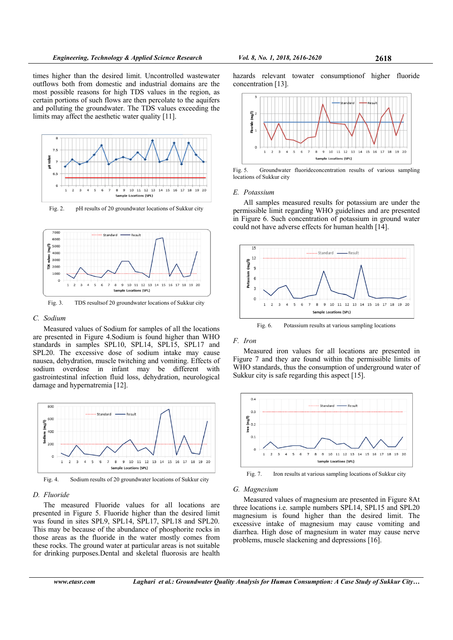times higher than the desired limit. Uncontrolled wastewater outflows both from domestic and industrial domains are the most possible reasons for high TDS values in the region, as certain portions of such flows are then percolate to the aquifers and polluting the groundwater. The TDS values exceeding the limits may affect the aesthetic water quality [11].



Fig. 2. pH results of 20 groundwater locations of Sukkur city



Fig. 3. TDS resultsof 20 groundwater locations of Sukkur city

#### *C. Sodium*

Measured values of Sodium for samples of all the locations are presented in Figure 4.Sodium is found higher than WHO standards in samples SPL10, SPL14, SPL15, SPL17 and SPL20. The excessive dose of sodium intake may cause nausea, dehydration, muscle twitching and vomiting. Effects of sodium overdose in infant may be different with gastrointestinal infection fluid loss, dehydration, neurological damage and hypernatremia [12].



Fig. 4. Sodium results of 20 groundwater locations of Sukkur city

#### *D. Fluoride*

The measured Fluoride values for all locations are presented in Figure 5. Fluoride higher than the desired limit was found in sites SPL9, SPL14, SPL17, SPL18 and SPL20. This may be because of the abundance of phosphorite rocks in those areas as the fluoride in the water mostly comes from these rocks. The ground water at particular areas is not suitable for drinking purposes.Dental and skeletal fluorosis are health

hazards relevant towater consumptionof higher fluoride concentration [13].



Fig. 5. Groundwater fluorideconcentration results of various sampling locations of Sukkur city

#### *E. Potassium*

All samples measured results for potassium are under the permissible limit regarding WHO guidelines and are presented in Figure 6. Such concentration of potassium in ground water could not have adverse effects for human health [14].



Fig. 6. Potassium results at various sampling locations

#### *F. Iron*

Measured iron values for all locations are presented in Figure 7 and they are found within the permissible limits of WHO standards, thus the consumption of underground water of Sukkur city is safe regarding this aspect [15].



Fig. 7. Iron results at various sampling locations of Sukkur city

#### *G. Magnesium*

Measured values of magnesium are presented in Figure 8At three locations i.e. sample numbers SPL14, SPL15 and SPL20 magnesium is found higher than the desired limit. The excessive intake of magnesium may cause vomiting and diarrhea. High dose of magnesium in water may cause nerve problems, muscle slackening and depressions [16].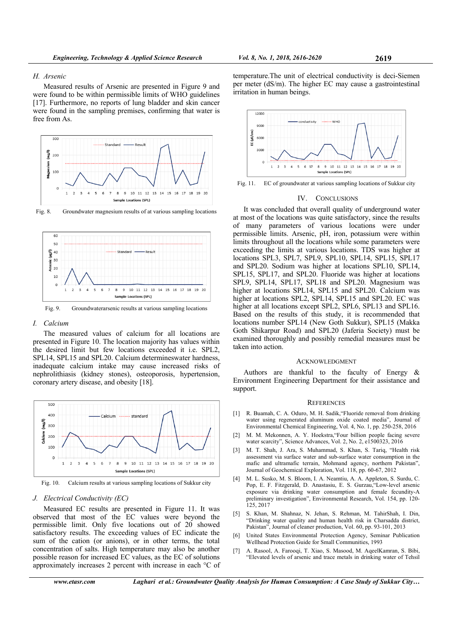#### *H. Arsenic*

Measured results of Arsenic are presented in Figure 9 and were found to be within permissible limits of WHO guidelines [17]. Furthermore, no reports of lung bladder and skin cancer were found in the sampling premises, confirming that water is free from As.



Fig. 8. Groundwater magnesium results of at various sampling locations



Fig. 9. Groundwaterarsenic results at various sampling locations

#### *I. Calcium*

The measured values of calcium for all locations are presented in Figure 10. The location majority has values within the desired limit but few locations exceeded it i.e. SPL2, SPL14, SPL15 and SPL20. Calcium determineswater hardness, inadequate calcium intake may cause increased risks of nephrolithiasis (kidney stones), osteoporosis, hypertension, coronary artery disease, and obesity [18].



Fig. 10. Calcium results at various sampling locations of Sukkur city

## *J. Electrical Conductivity (EC)*

Measured EC results are presented in Figure 11. It was observed that most of the EC values were beyond the permissible limit. Only five locations out of 20 showed satisfactory results. The exceeding values of EC indicate the sum of the cation (or anions), or in other terms, the total concentration of salts. High temperature may also be another possible reason for increased EC values, as the EC of solutions approximately increases 2 percent with increase in each °C of

temperature.The unit of electrical conductivity is deci-Siemen per meter (dS/m). The higher EC may cause a gastrointestinal irritation in human beings.



Fig. 11. EC of groundwater at various sampling locations of Sukkur city

#### IV. CONCLUSIONS

It was concluded that overall quality of underground water at most of the locations was quite satisfactory, since the results of many parameters of various locations were under permissible limits. Arsenic, pH, iron, potassium were within limits throughout all the locations while some parameters were exceeding the limits at various locations. TDS was higher at locations SPL3, SPL7, SPL9, SPL10, SPL14, SPL15, SPL17 and SPL20. Sodium was higher at locations SPL10, SPL14, SPL15, SPL17, and SPL20. Fluoride was higher at locations SPL9, SPL14, SPL17, SPL18 and SPL20. Magnesium was higher at locations SPL14, SPL15 and SPL20. Calcium was higher at locations SPL2, SPL14, SPL15 and SPL20. EC was higher at all locations except SPL2, SPL6, SPL13 and SPL16. Based on the results of this study, it is recommended that locations number SPL14 (New Goth Sukkur), SPL15 (Makka Goth Shikarpur Road) and SPL20 (Jaferia Society) must be examined thoroughly and possibly remedial measures must be taken into action.

#### ACKNOWLEDGMENT

Authors are thankful to the faculty of Energy & Environment Engineering Department for their assistance and support.

#### **REFERENCES**

- [1] R. Buamah, C. A. Oduro, M. H. Sadik,"Fluoride removal from drinking water using regenerated aluminum oxide coated media", Journal of Environmental Chemical Engineering, Vol. 4, No. 1, pp. 250-258, 2016
- [2] M. M. Mekonnen, A. Y. Hoekstra,"Four billion people facing severe water scarcity", Science Advances, Vol. 2, No. 2, e1500323, 2016
- [3] M. T. Shah, J. Ara, S. Muhammad, S. Khan, S. Tariq, "Health risk assessment via surface water and sub-surface water consumption in the mafic and ultramafic terrain, Mohmand agency, northern Pakistan", Journal of Geochemical Exploration, Vol. 118, pp. 60-67, 2012
- [4] M. L. Susko, M. S. Bloom, I. A. Neamtiu, A. A. Appleton, S. Surdu, C. Pop, E. F. Fitzgerald, D. Anastasiu, E. S. Gurzau,"Low-level arsenic exposure via drinking water consumption and female fecundity-A preliminary investigation", Environmental Research, Vol. 154, pp. 120- 125, 2017
- [5] S. Khan, M. Shahnaz, N. Jehan, S. Rehman, M. TahirShah, I. Din, "Drinking water quality and human health risk in Charsadda district, Pakistan", Journal of cleaner production, Vol. 60, pp. 93-101, 2013
- [6] United States Environmental Protection Agency, Seminar Publication Wellhead Protection Guide for Small Communities, 1993
- [7] A. Rasool, A. Farooqi, T. Xiao, S. Masood, M. AqeelKamran, S. Bibi, "Elevated levels of arsenic and trace metals in drinking water of Tehsil